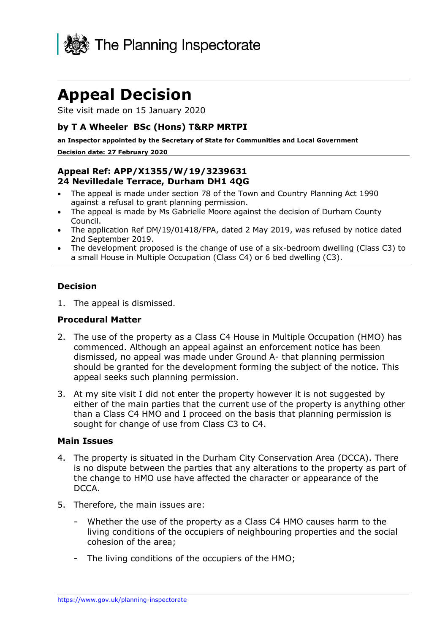

# **Appeal Decision**

Site visit made on 15 January 2020

#### **by T A Wheeler BSc (Hons) T&RP MRTPI**

**an Inspector appointed by the Secretary of State for Communities and Local Government Decision date: 27 February 2020**

## **Appeal Ref: APP/X1355/W/19/3239631 24 Nevilledale Terrace, Durham DH1 4QG**

- The appeal is made under section 78 of the Town and Country Planning Act 1990 against a refusal to grant planning permission.
- The appeal is made by Ms Gabrielle Moore against the decision of Durham County Council.
- The application Ref DM/19/01418/FPA, dated 2 May 2019, was refused by notice dated 2nd September 2019.
- The development proposed is the change of use of a six-bedroom dwelling (Class C3) to a small House in Multiple Occupation (Class C4) or 6 bed dwelling (C3).

#### **Decision**

1. The appeal is dismissed.

#### **Procedural Matter**

- 2. The use of the property as a Class C4 House in Multiple Occupation (HMO) has commenced. Although an appeal against an enforcement notice has been dismissed, no appeal was made under Ground A- that planning permission should be granted for the development forming the subject of the notice. This appeal seeks such planning permission.
- 3. At my site visit I did not enter the property however it is not suggested by either of the main parties that the current use of the property is anything other than a Class C4 HMO and I proceed on the basis that planning permission is sought for change of use from Class C3 to C4.

#### **Main Issues**

- 4. The property is situated in the Durham City Conservation Area (DCCA). There is no dispute between the parties that any alterations to the property as part of the change to HMO use have affected the character or appearance of the DCCA.
- 5. Therefore, the main issues are:
	- Whether the use of the property as a Class C4 HMO causes harm to the living conditions of the occupiers of neighbouring properties and the social cohesion of the area;
	- The living conditions of the occupiers of the HMO;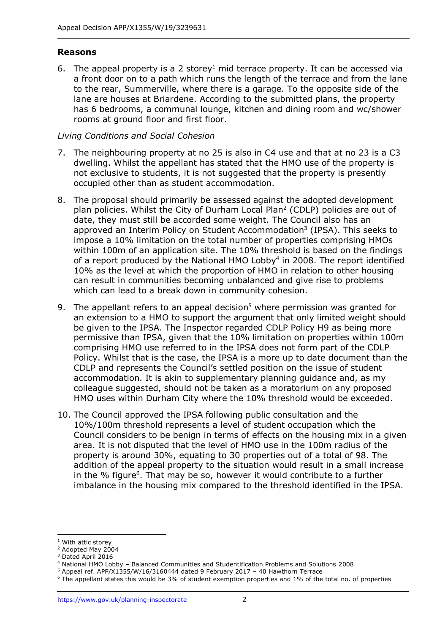#### **Reasons**

6. The appeal property is a 2 storey<sup>1</sup> mid terrace property. It can be accessed via a front door on to a path which runs the length of the terrace and from the lane to the rear, Summerville, where there is a garage. To the opposite side of the lane are houses at Briardene. According to the submitted plans, the property has 6 bedrooms, a communal lounge, kitchen and dining room and wc/shower rooms at ground floor and first floor.

#### *Living Conditions and Social Cohesion*

- 7. The neighbouring property at no 25 is also in C4 use and that at no 23 is a C3 dwelling. Whilst the appellant has stated that the HMO use of the property is not exclusive to students, it is not suggested that the property is presently occupied other than as student accommodation.
- 8. The proposal should primarily be assessed against the adopted development plan policies. Whilst the City of Durham Local Plan<sup>2</sup> (CDLP) policies are out of date, they must still be accorded some weight. The Council also has an approved an Interim Policy on Student Accommodation<sup>3</sup> (IPSA). This seeks to impose a 10% limitation on the total number of properties comprising HMOs within 100m of an application site. The 10% threshold is based on the findings of a report produced by the National HMO Lobby<sup>4</sup> in 2008. The report identified 10% as the level at which the proportion of HMO in relation to other housing can result in communities becoming unbalanced and give rise to problems which can lead to a break down in community cohesion.
- 9. The appellant refers to an appeal decision<sup>5</sup> where permission was granted for an extension to a HMO to support the argument that only limited weight should be given to the IPSA. The Inspector regarded CDLP Policy H9 as being more permissive than IPSA, given that the 10% limitation on properties within 100m comprising HMO use referred to in the IPSA does not form part of the CDLP Policy. Whilst that is the case, the IPSA is a more up to date document than the CDLP and represents the Council's settled position on the issue of student accommodation. It is akin to supplementary planning guidance and, as my colleague suggested, should not be taken as a moratorium on any proposed HMO uses within Durham City where the 10% threshold would be exceeded.
- 10. The Council approved the IPSA following public consultation and the 10%/100m threshold represents a level of student occupation which the Council considers to be benign in terms of effects on the housing mix in a given area. It is not disputed that the level of HMO use in the 100m radius of the property is around 30%, equating to 30 properties out of a total of 98. The addition of the appeal property to the situation would result in a small increase in the % figure<sup>6</sup>. That may be so, however it would contribute to a further imbalance in the housing mix compared to the threshold identified in the IPSA.

<sup>&</sup>lt;sup>1</sup> With attic storey

<sup>&</sup>lt;sup>2</sup> Adopted May 2004

<sup>&</sup>lt;sup>3</sup> Dated April 2016

<sup>4</sup> National HMO Lobby – Balanced Communities and Studentification Problems and Solutions 2008

 $5$  Appeal ref. APP/X1355/W/16/3160444 dated 9 February 2017 - 40 Hawthorn Terrace

<sup>6</sup> The appellant states this would be 3% of student exemption properties and 1% of the total no. of properties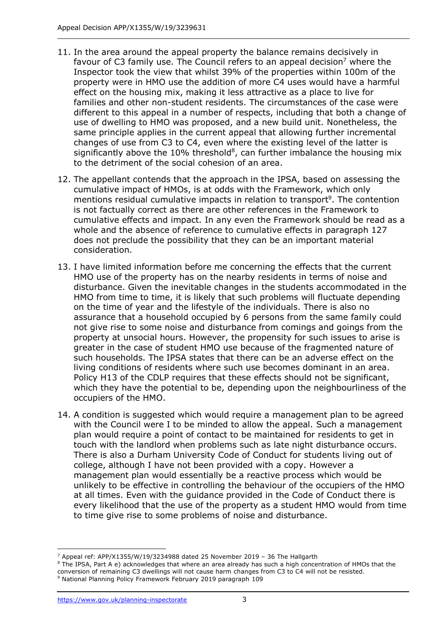- 11. In the area around the appeal property the balance remains decisively in favour of C3 family use. The Council refers to an appeal decision<sup>7</sup> where the Inspector took the view that whilst 39% of the properties within 100m of the property were in HMO use the addition of more C4 uses would have a harmful effect on the housing mix, making it less attractive as a place to live for families and other non-student residents. The circumstances of the case were different to this appeal in a number of respects, including that both a change of use of dwelling to HMO was proposed, and a new build unit. Nonetheless, the same principle applies in the current appeal that allowing further incremental changes of use from C3 to C4, even where the existing level of the latter is significantly above the 10% threshold<sup>8</sup>, can further imbalance the housing mix to the detriment of the social cohesion of an area.
- 12. The appellant contends that the approach in the IPSA, based on assessing the cumulative impact of HMOs, is at odds with the Framework, which only mentions residual cumulative impacts in relation to transport<sup>9</sup>. The contention is not factually correct as there are other references in the Framework to cumulative effects and impact. In any even the Framework should be read as a whole and the absence of reference to cumulative effects in paragraph 127 does not preclude the possibility that they can be an important material consideration.
- 13. I have limited information before me concerning the effects that the current HMO use of the property has on the nearby residents in terms of noise and disturbance. Given the inevitable changes in the students accommodated in the HMO from time to time, it is likely that such problems will fluctuate depending on the time of year and the lifestyle of the individuals. There is also no assurance that a household occupied by 6 persons from the same family could not give rise to some noise and disturbance from comings and goings from the property at unsocial hours. However, the propensity for such issues to arise is greater in the case of student HMO use because of the fragmented nature of such households. The IPSA states that there can be an adverse effect on the living conditions of residents where such use becomes dominant in an area. Policy H13 of the CDLP requires that these effects should not be significant, which they have the potential to be, depending upon the neighbourliness of the occupiers of the HMO.
- 14. A condition is suggested which would require a management plan to be agreed with the Council were I to be minded to allow the appeal. Such a management plan would require a point of contact to be maintained for residents to get in touch with the landlord when problems such as late night disturbance occurs. There is also a Durham University Code of Conduct for students living out of college, although I have not been provided with a copy. However a management plan would essentially be a reactive process which would be unlikely to be effective in controlling the behaviour of the occupiers of the HMO at all times. Even with the guidance provided in the Code of Conduct there is every likelihood that the use of the property as a student HMO would from time to time give rise to some problems of noise and disturbance.

<sup>7</sup> Appeal ref: APP/X1355/W/19/3234988 dated 25 November 2019 – 36 The Hallgarth

<sup>&</sup>lt;sup>8</sup> The IPSA, Part A e) acknowledges that where an area already has such a high concentration of HMOs that the conversion of remaining C3 dwellings will not cause harm changes from C3 to C4 will not be resisted. <sup>9</sup> National Planning Policy Framework February 2019 paragraph 109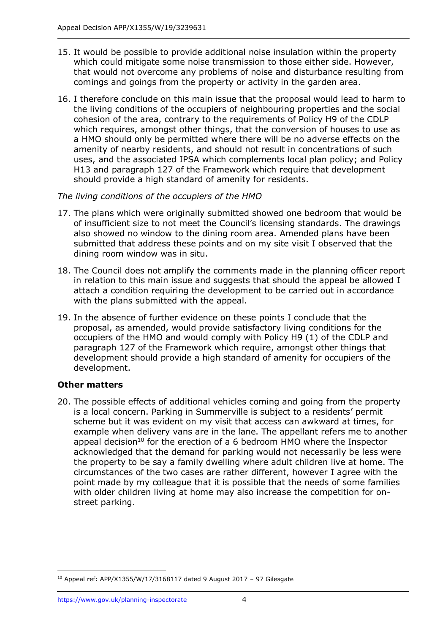- 15. It would be possible to provide additional noise insulation within the property which could mitigate some noise transmission to those either side. However, that would not overcome any problems of noise and disturbance resulting from comings and goings from the property or activity in the garden area.
- 16. I therefore conclude on this main issue that the proposal would lead to harm to the living conditions of the occupiers of neighbouring properties and the social cohesion of the area, contrary to the requirements of Policy H9 of the CDLP which requires, amongst other things, that the conversion of houses to use as a HMO should only be permitted where there will be no adverse effects on the amenity of nearby residents, and should not result in concentrations of such uses, and the associated IPSA which complements local plan policy; and Policy H13 and paragraph 127 of the Framework which require that development should provide a high standard of amenity for residents.

#### *The living conditions of the occupiers of the HMO*

- 17. The plans which were originally submitted showed one bedroom that would be of insufficient size to not meet the Council's licensing standards. The drawings also showed no window to the dining room area. Amended plans have been submitted that address these points and on my site visit I observed that the dining room window was in situ.
- 18. The Council does not amplify the comments made in the planning officer report in relation to this main issue and suggests that should the appeal be allowed I attach a condition requiring the development to be carried out in accordance with the plans submitted with the appeal.
- 19. In the absence of further evidence on these points I conclude that the proposal, as amended, would provide satisfactory living conditions for the occupiers of the HMO and would comply with Policy H9 (1) of the CDLP and paragraph 127 of the Framework which require, amongst other things that development should provide a high standard of amenity for occupiers of the development.

## **Other matters**

20. The possible effects of additional vehicles coming and going from the property is a local concern. Parking in Summerville is subject to a residents' permit scheme but it was evident on my visit that access can awkward at times, for example when delivery vans are in the lane. The appellant refers me to another appeal decision<sup>10</sup> for the erection of a 6 bedroom HMO where the Inspector acknowledged that the demand for parking would not necessarily be less were the property to be say a family dwelling where adult children live at home. The circumstances of the two cases are rather different, however I agree with the point made by my colleague that it is possible that the needs of some families with older children living at home may also increase the competition for onstreet parking.

 $10$  Appeal ref: APP/X1355/W/17/3168117 dated 9 August 2017 - 97 Gilesgate